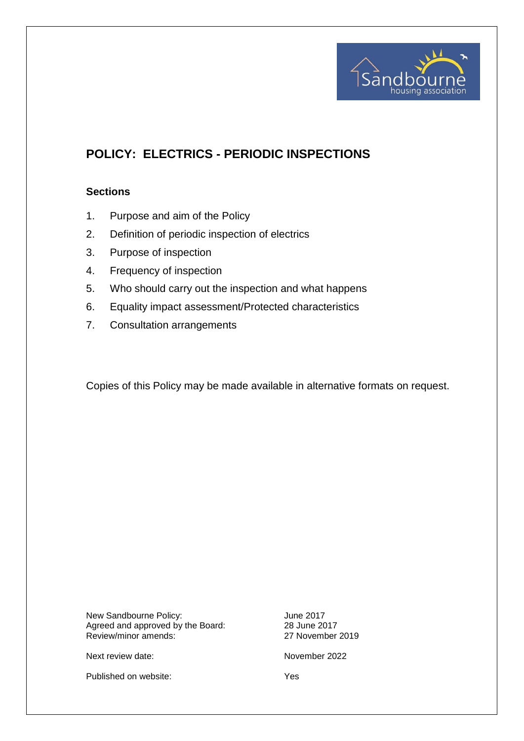

# **POLICY: ELECTRICS - PERIODIC INSPECTIONS**

## **Sections**

- 1. Purpose and aim of the Policy
- 2. Definition of periodic inspection of electrics
- 3. Purpose of inspection
- 4. Frequency of inspection
- 5. Who should carry out the inspection and what happens
- 6. Equality impact assessment/Protected characteristics
- 7. Consultation arrangements

Copies of this Policy may be made available in alternative formats on request.

New Sandbourne Policy:<br>Agreed and approved by the Board: 28 June 2017 Agreed and approved by the Board: 28 June 2017<br>Review/minor amends: 27 November 2019 Review/minor amends:

Next review date: November 2022

Published on website: Yes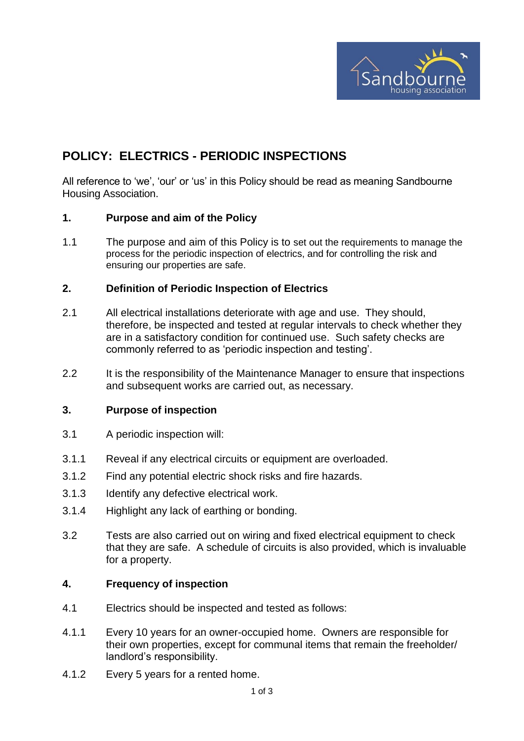

# **POLICY: ELECTRICS - PERIODIC INSPECTIONS**

All reference to 'we', 'our' or 'us' in this Policy should be read as meaning Sandbourne Housing Association.

#### **1. Purpose and aim of the Policy**

1.1 The purpose and aim of this Policy is to set out the requirements to manage the process for the periodic inspection of electrics, and for controlling the risk and ensuring our properties are safe.

## **2. Definition of Periodic Inspection of Electrics**

- 2.1 All electrical installations deteriorate with age and use. They should, therefore, be inspected and tested at regular intervals to check whether they are in a satisfactory condition for continued use. Such safety checks are commonly referred to as 'periodic inspection and testing'.
- 2.2 It is the responsibility of the Maintenance Manager to ensure that inspections and subsequent works are carried out, as necessary.

#### **3. Purpose of inspection**

- 3.1 A periodic inspection will:
- 3.1.1 Reveal if any electrical circuits or equipment are overloaded.
- 3.1.2 Find any potential electric shock risks and fire hazards.
- 3.1.3 Identify any defective electrical work.
- 3.1.4 Highlight any lack of earthing or bonding.
- 3.2 Tests are also carried out on wiring and fixed electrical equipment to check that they are safe. A schedule of circuits is also provided, which is invaluable for a property.

#### **4. Frequency of inspection**

- 4.1 Electrics should be inspected and tested as follows:
- 4.1.1 Every 10 years for an owner-occupied home. Owners are responsible for their own properties, except for communal items that remain the freeholder/ landlord's responsibility.
- 4.1.2 Every 5 years for a rented home.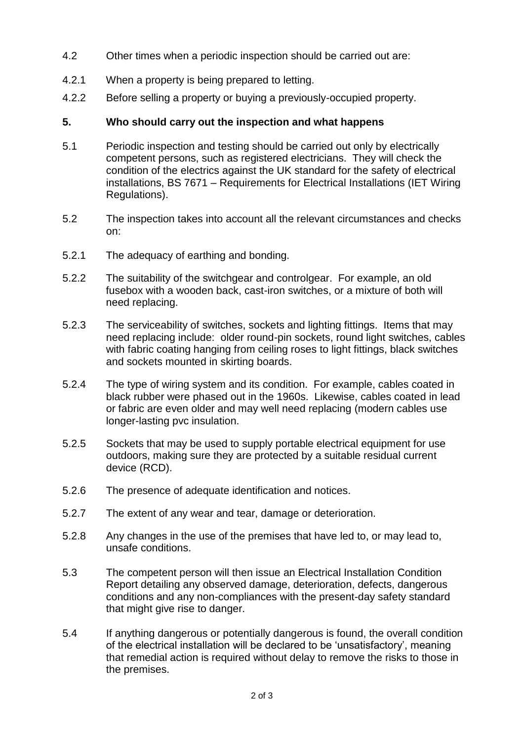- 4.2 Other times when a periodic inspection should be carried out are:
- 4.2.1 When a property is being prepared to letting.
- 4.2.2 Before selling a property or buying a previously-occupied property.

## **5. Who should carry out the inspection and what happens**

- 5.1 Periodic inspection and testing should be carried out only by electrically competent persons, such as registered electricians. They will check the condition of the electrics against the UK standard for the safety of electrical installations, BS 7671 – Requirements for Electrical Installations (IET Wiring Regulations).
- 5.2 The inspection takes into account all the relevant circumstances and checks on:
- 5.2.1 The adequacy of earthing and bonding.
- 5.2.2 The suitability of the switchgear and controlgear. For example, an old fusebox with a wooden back, cast-iron switches, or a mixture of both will need replacing.
- 5.2.3 The serviceability of switches, sockets and lighting fittings. Items that may need replacing include: older round-pin sockets, round light switches, cables with fabric coating hanging from ceiling roses to light fittings, black switches and sockets mounted in skirting boards.
- 5.2.4 The type of wiring system and its condition. For example, cables coated in black rubber were phased out in the 1960s. Likewise, cables coated in lead or fabric are even older and may well need replacing (modern cables use longer-lasting pvc insulation.
- 5.2.5 Sockets that may be used to supply portable electrical equipment for use outdoors, making sure they are protected by a suitable residual current device (RCD).
- 5.2.6 The presence of adequate identification and notices.
- 5.2.7 The extent of any wear and tear, damage or deterioration.
- 5.2.8 Any changes in the use of the premises that have led to, or may lead to, unsafe conditions.
- 5.3 The competent person will then issue an Electrical Installation Condition Report detailing any observed damage, deterioration, defects, dangerous conditions and any non-compliances with the present-day safety standard that might give rise to danger.
- 5.4 If anything dangerous or potentially dangerous is found, the overall condition of the electrical installation will be declared to be 'unsatisfactory', meaning that remedial action is required without delay to remove the risks to those in the premises.